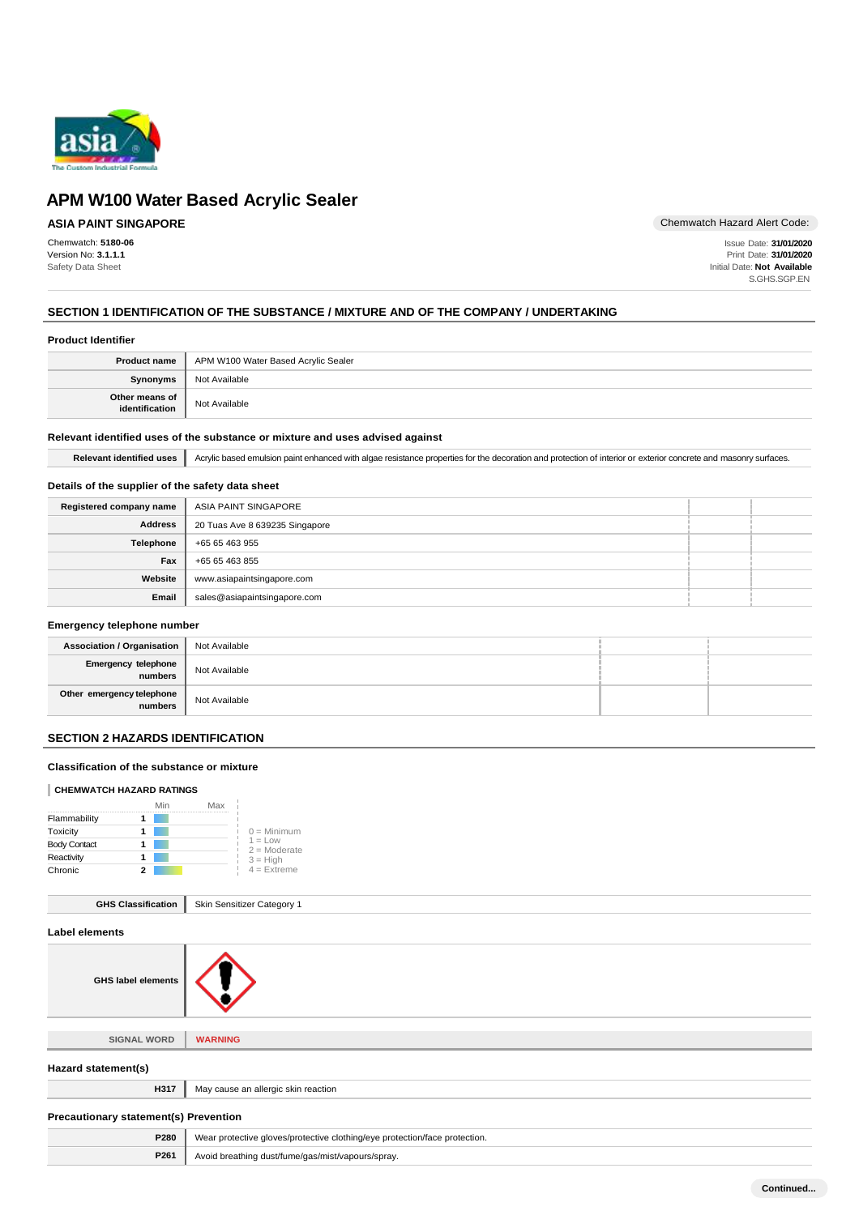

## **ASIA PAINT SINGAPORE**

Chemwatch: **5180-06** Version No: **3.1.1.1** Safety Data Sheet

Chemwatch Hazard Alert Code:

Issue Date: **31/01/2020** Print Date: **31/01/2020** Initial Date: **Not Available** S.GHS.SGP.EN

## **SECTION 1 IDENTIFICATION OF THE SUBSTANCE / MIXTURE AND OF THE COMPANY / UNDERTAKING**

## **Product Identifier**

| <b>Product name</b>              | APM W100 Water Based Acrylic Sealer |
|----------------------------------|-------------------------------------|
| <b>Synonyms</b>                  | Not Available                       |
| Other means of<br>identification | Not Available                       |

## **Relevant identified uses of the substance or mixture and uses advised against**

Relevant identified uses **Acrylic based emulsion paint enhanced with algae resistance properties for the decoration and protection of interior or exterior concrete and masonry surfaces.** 

## **Details of the supplier of the safety data sheet**

| Registered company name | ASIA PAINT SINGAPORE           |  |
|-------------------------|--------------------------------|--|
| <b>Address</b>          | 20 Tuas Ave 8 639235 Singapore |  |
| Telephone               | +65 65 463 955                 |  |
| Fax                     | +65 65 463 855                 |  |
| Website                 | www.asiapaintsingapore.com     |  |
| Email                   | sales@asiapaintsingapore.com   |  |

#### **Emergency telephone number**

| Association / Organisation           | Not Available |  |
|--------------------------------------|---------------|--|
| Emergency telephone<br>numbers       | Not Available |  |
| Other emergency telephone<br>numbers | Not Available |  |

## **SECTION 2 HAZARDS IDENTIFICATION**

## **Classification of the substance or mixture**

#### **CHEMWATCH HAZARD RATINGS**

|                     |   | Min | Max |                             |
|---------------------|---|-----|-----|-----------------------------|
| Flammability        |   |     |     |                             |
| Toxicity            |   |     |     | $0 =$ Minimum               |
| <b>Body Contact</b> |   |     |     | $1 = Low$<br>$2 =$ Moderate |
| Reactivity          |   |     |     | $3 = High$                  |
| Chronic             | 2 |     |     | $4 =$ Extreme               |

| <b>GHS Classification</b> |  | Skin Sensitizer Category 1 |
|---------------------------|--|----------------------------|
|---------------------------|--|----------------------------|

|  | Label elements |
|--|----------------|
|  |                |



**SIGNAL WORD WARNING**

| Hazard statement(s)                          |                                                                            |  |
|----------------------------------------------|----------------------------------------------------------------------------|--|
| H317<br>May cause an allergic skin reaction  |                                                                            |  |
| <b>Precautionary statement(s) Prevention</b> |                                                                            |  |
| P280                                         | Wear protective gloves/protective clothing/eye protection/face protection. |  |
| P261                                         | Avoid breathing dust/fume/gas/mist/vapours/spray.                          |  |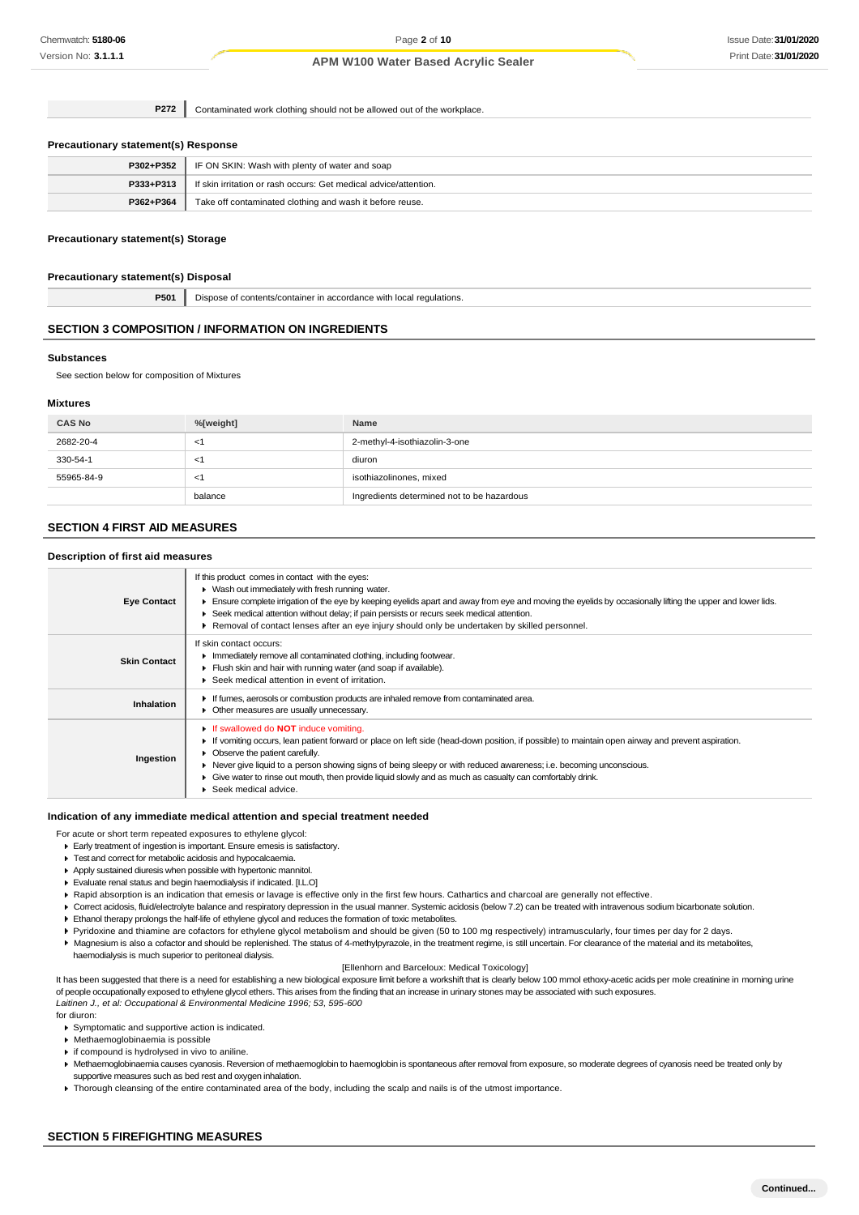**P272** Contaminated work clothing should not be allowed out of the workplace.

#### **Precautionary statement(s) Response**

| P302+P352 | IF ON SKIN: Wash with plenty of water and soap                   |
|-----------|------------------------------------------------------------------|
| P333+P313 | If skin irritation or rash occurs: Get medical advice/attention. |
| P362+P364 | Take off contaminated clothing and wash it before reuse.         |

### **Precautionary statement(s) Storage**

#### **Precautionary statement(s) Disposal**

**P501** Dispose of contents/container in accordance with local regulations.

### **SECTION 3 COMPOSITION / INFORMATION ON INGREDIENTS**

#### **Substances**

See section below for composition of Mixtures

#### **Mixtures**

| <b>CAS No</b> | %[weight] | Name                                       |
|---------------|-----------|--------------------------------------------|
| 2682-20-4     | - < 1     | 2-methyl-4-isothiazolin-3-one              |
| 330-54-1      | - < 1     | diuron                                     |
| 55965-84-9    | -1        | isothiazolinones, mixed                    |
|               | balance   | Ingredients determined not to be hazardous |

## **SECTION 4 FIRST AID MEASURES**

### **Description of first aid measures**

| <b>Eye Contact</b>  | If this product comes in contact with the eyes:<br>• Wash out immediately with fresh running water.<br>Ensure complete irrigation of the eye by keeping eyelids apart and away from eye and moving the eyelids by occasionally lifting the upper and lower lids.<br>▶ Seek medical attention without delay; if pain persists or recurs seek medical attention.<br>Removal of contact lenses after an eye injury should only be undertaken by skilled personnel.                                      |
|---------------------|------------------------------------------------------------------------------------------------------------------------------------------------------------------------------------------------------------------------------------------------------------------------------------------------------------------------------------------------------------------------------------------------------------------------------------------------------------------------------------------------------|
| <b>Skin Contact</b> | If skin contact occurs:<br>Immediately remove all contaminated clothing, including footwear.<br>Flush skin and hair with running water (and soap if available).<br>Seek medical attention in event of irritation.                                                                                                                                                                                                                                                                                    |
| Inhalation          | If fumes, aerosols or combustion products are inhaled remove from contaminated area.<br>• Other measures are usually unnecessary.                                                                                                                                                                                                                                                                                                                                                                    |
| Ingestion           | If swallowed do <b>NOT</b> induce vomiting.<br>If vomiting occurs, lean patient forward or place on left side (head-down position, if possible) to maintain open airway and prevent aspiration.<br>• Observe the patient carefully.<br>▶ Never give liquid to a person showing signs of being sleepy or with reduced awareness; i.e. becoming unconscious.<br>Give water to rinse out mouth, then provide liquid slowly and as much as casualty can comfortably drink.<br>۰.<br>Seek medical advice. |

#### **Indication of any immediate medical attention and special treatment needed**

For acute or short term repeated exposures to ethylene glycol:

- Early treatment of ingestion is important. Ensure emesis is satisfactory.
- Test and correct for metabolic acidosis and hypocalcaemia.
- Apply sustained diuresis when possible with hypertonic mannitol.
- Evaluate renal status and begin haemodialysis if indicated. [I.L.O]
- ▶ Rapid absorption is an indication that emesis or lavage is effective only in the first few hours. Cathartics and charcoal are generally not effective.
- Correct acidosis, fluid/electrolyte balance and respiratory depression in the usual manner. Systemic acidosis (below 7.2) can be treated with intravenous sodium bicarbonate solution.
- Ethanol therapy prolongs the half-life of ethylene glycol and reduces the formation of toxic metabolites.
- Pyridoxine and thiamine are cofactors for ethylene glycol metabolism and should be given (50 to 100 mg respectively) intramuscularly, four times per day for 2 days.
- Magnesium is also a cofactor and should be replenished. The status of 4-methylpyrazole, in the treatment regime, is still uncertain. For clearance of the material and its metabolites, haemodialysis is much superior to peritoneal dialysis.

#### [Ellenhorn and Barceloux: Medical Toxicology]

It has been suggested that there is a need for establishing a new biological exposure limit before a workshift that is clearly below 100 mmol ethoxy-acetic acids per mole creatinine in morning urine of people occupationally exposed to ethylene glycol ethers. This arises from the finding that an increase in urinary stones may be associated with such exposures. *Laitinen J., et al: Occupational & Environmental Medicine 1996; 53, 595-600*

#### for diuron:

Symptomatic and supportive action is indicated.

- Methaemoglobinaemia is possible
- if compound is hydrolysed in vivo to aniline.
- Methaemoglobinaemia causes cyanosis. Reversion of methaemoglobin to haemoglobin is spontaneous after removal from exposure, so moderate degrees of cyanosis need be treated only by supportive measures such as bed rest and oxygen inhalation.
- Thorough cleansing of the entire contaminated area of the body, including the scalp and nails is of the utmost importance.

### **SECTION 5 FIREFIGHTING MEASURES**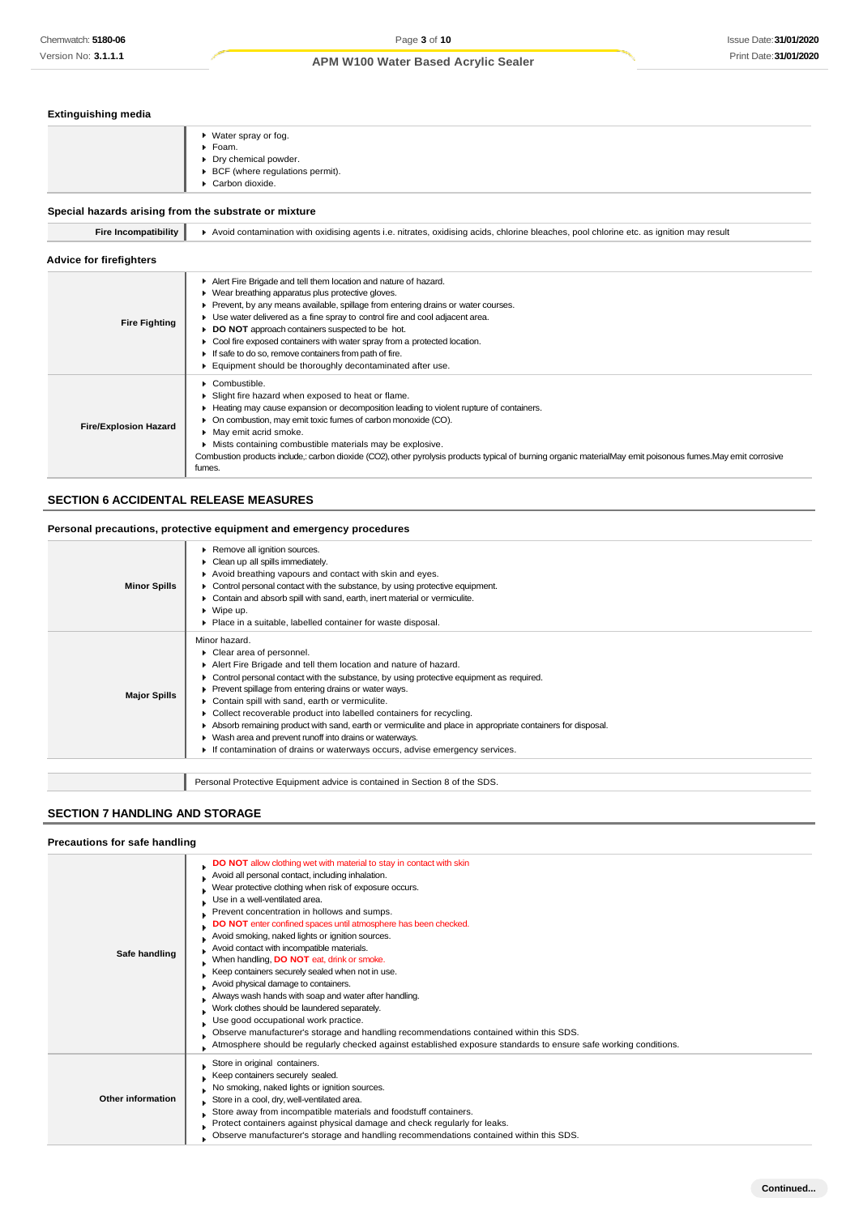## **Extinguishing media**

|  |  | ▶ Water spray or fog.<br>▶ Foam.<br>► Dry chemical powder.<br>► BCF (where regulations permit).<br>► Carbon dioxide. |
|--|--|----------------------------------------------------------------------------------------------------------------------|
|--|--|----------------------------------------------------------------------------------------------------------------------|

## **Special hazards arising from the substrate or mixture**

| Fire Incompatibility           | Avoid contamination with oxidising agents i.e. nitrates, oxidising acids, chlorine bleaches, pool chlorine etc. as ignition may result                                                                                                                                                                                                                                                                                                                                                                                                            |
|--------------------------------|---------------------------------------------------------------------------------------------------------------------------------------------------------------------------------------------------------------------------------------------------------------------------------------------------------------------------------------------------------------------------------------------------------------------------------------------------------------------------------------------------------------------------------------------------|
| <b>Advice for firefighters</b> |                                                                                                                                                                                                                                                                                                                                                                                                                                                                                                                                                   |
| <b>Fire Fighting</b>           | Alert Fire Brigade and tell them location and nature of hazard.<br>• Wear breathing apparatus plus protective gloves.<br>▶ Prevent, by any means available, spillage from entering drains or water courses.<br>• Use water delivered as a fine spray to control fire and cool adjacent area.<br>DO NOT approach containers suspected to be hot.<br>Cool fire exposed containers with water spray from a protected location.<br>If safe to do so, remove containers from path of fire.<br>Equipment should be thoroughly decontaminated after use. |
| <b>Fire/Explosion Hazard</b>   | $\triangleright$ Combustible.<br>Slight fire hazard when exposed to heat or flame.<br>► Heating may cause expansion or decomposition leading to violent rupture of containers.<br>• On combustion, may emit toxic fumes of carbon monoxide (CO).<br>• May emit acrid smoke.<br>Mists containing combustible materials may be explosive.<br>Combustion products include,: carbon dioxide (CO2), other pyrolysis products typical of burning organic materialMay emit poisonous fumes. May emit corrosive<br>fumes.                                 |

## **SECTION 6 ACCIDENTAL RELEASE MEASURES**

## **Personal precautions, protective equipment and emergency procedures**

| Minor hazard.<br>Clear area of personnel.<br>Alert Fire Brigade and tell them location and nature of hazard.                                                                                                                                                                                                                                                                                                                                                                                                                                            |  |
|---------------------------------------------------------------------------------------------------------------------------------------------------------------------------------------------------------------------------------------------------------------------------------------------------------------------------------------------------------------------------------------------------------------------------------------------------------------------------------------------------------------------------------------------------------|--|
| Control personal contact with the substance, by using protective equipment as required.<br>Prevent spillage from entering drains or water ways.<br><b>Major Spills</b><br>Contain spill with sand, earth or vermiculite.<br>Collect recoverable product into labelled containers for recycling.<br>Absorb remaining product with sand, earth or vermiculite and place in appropriate containers for disposal.<br>▶ Wash area and prevent runoff into drains or waterways.<br>If contamination of drains or waterways occurs, advise emergency services. |  |
| Personal Protective Equipment advice is contained in Section 8 of the SDS.                                                                                                                                                                                                                                                                                                                                                                                                                                                                              |  |

## **SECTION 7 HANDLING AND STORAGE**

## **Precautions for safe handling**

| Safe handling     | DO NOT allow clothing wet with material to stay in contact with skin<br>Avoid all personal contact, including inhalation.<br>Wear protective clothing when risk of exposure occurs.<br>Use in a well-ventilated area.<br>Prevent concentration in hollows and sumps.<br>DO NOT enter confined spaces until atmosphere has been checked.<br>Avoid smoking, naked lights or ignition sources.<br>Avoid contact with incompatible materials.<br>When handling, DO NOT eat, drink or smoke.<br>Keep containers securely sealed when not in use.<br>Avoid physical damage to containers.<br>Always wash hands with soap and water after handling.<br>Work clothes should be laundered separately.<br>Use good occupational work practice.<br>Observe manufacturer's storage and handling recommendations contained within this SDS.<br>Atmosphere should be regularly checked against established exposure standards to ensure safe working conditions. |
|-------------------|----------------------------------------------------------------------------------------------------------------------------------------------------------------------------------------------------------------------------------------------------------------------------------------------------------------------------------------------------------------------------------------------------------------------------------------------------------------------------------------------------------------------------------------------------------------------------------------------------------------------------------------------------------------------------------------------------------------------------------------------------------------------------------------------------------------------------------------------------------------------------------------------------------------------------------------------------|
| Other information | Store in original containers.<br>Keep containers securely sealed.<br>No smoking, naked lights or ignition sources.<br>Store in a cool, dry, well-ventilated area.<br>Store away from incompatible materials and foodstuff containers.<br>Protect containers against physical damage and check regularly for leaks.<br>Observe manufacturer's storage and handling recommendations contained within this SDS.                                                                                                                                                                                                                                                                                                                                                                                                                                                                                                                                       |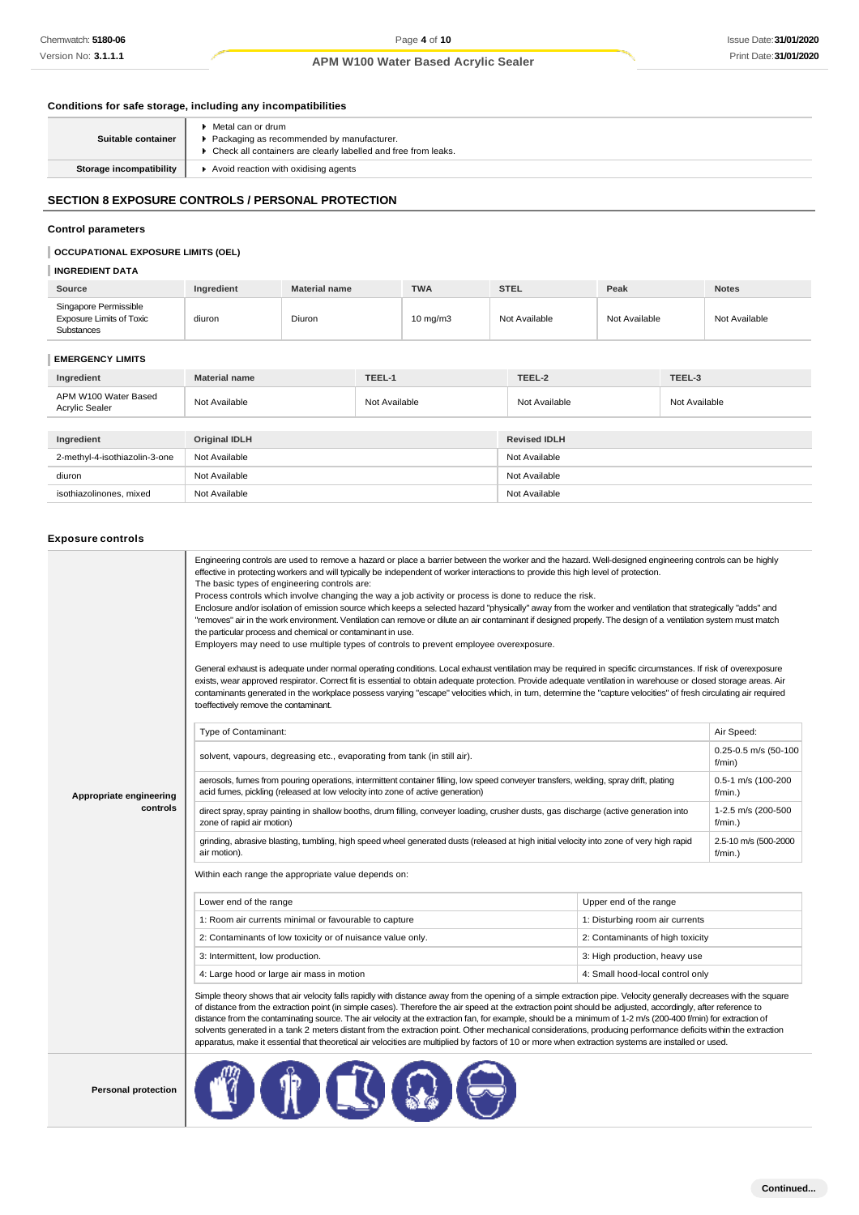## **Conditions for safe storage, including any incompatibilities**

| Suitable container             | ▶ Metal can or drum<br>▶ Packaging as recommended by manufacturer.<br>▶ Check all containers are clearly labelled and free from leaks. |
|--------------------------------|----------------------------------------------------------------------------------------------------------------------------------------|
| <b>Storage incompatibility</b> | ▶ Avoid reaction with oxidising agents                                                                                                 |

## **SECTION 8 EXPOSURE CONTROLS / PERSONAL PROTECTION**

## **Control parameters**

## **OCCUPATIONAL EXPOSURE LIMITS (OEL)**

## **INGREDIENT DATA**

| Source                                                                 | Ingredient | <b>Material name</b> | <b>TWA</b>        | <b>STEL</b>   | Peak          | <b>Notes</b>  |
|------------------------------------------------------------------------|------------|----------------------|-------------------|---------------|---------------|---------------|
| Singapore Permissible<br><b>Exposure Limits of Toxic</b><br>Substances | diuron     | Diuron               | $10 \text{ mg/m}$ | Not Available | Not Available | Not Available |

## **EMERGENCY LIMITS**

| Ingredient                                    | <b>Material name</b> | TEEL-1        | TEEL-2              | TEEL-3        |
|-----------------------------------------------|----------------------|---------------|---------------------|---------------|
| APM W100 Water Based<br><b>Acrylic Sealer</b> | Not Available        | Not Available | Not Available       | Not Available |
|                                               |                      |               |                     |               |
| Ingredient                                    | Original IDLH        |               | <b>Revised IDLH</b> |               |
| 2-methyl-4-isothiazolin-3-one                 | Not Available        |               | Not Available       |               |
| diuron                                        | Not Available        |               | Not Available       |               |
| isothiazolinones, mixed                       | Not Available        |               | Not Available       |               |

#### **Exposure controls**

|                                     | Engineering controls are used to remove a hazard or place a barrier between the worker and the hazard. Well-designed engineering controls can be highly<br>effective in protecting workers and will typically be independent of worker interactions to provide this high level of protection.<br>The basic types of engineering controls are:<br>Process controls which involve changing the way a job activity or process is done to reduce the risk.<br>Enclosure and/or isolation of emission source which keeps a selected hazard "physically" away from the worker and ventilation that strategically "adds" and<br>"removes" air in the work environment. Ventilation can remove or dilute an air contaminant if designed properly. The design of a ventilation system must match<br>the particular process and chemical or contaminant in use.<br>Employers may need to use multiple types of controls to prevent employee overexposure.<br>General exhaust is adequate under normal operating conditions. Local exhaust ventilation may be required in specific circumstances. If risk of overexposure<br>exists, wear approved respirator. Correct fit is essential to obtain adequate protection. Provide adequate ventilation in warehouse or closed storage areas. Air<br>contaminants generated in the workplace possess varying "escape" velocities which, in turn, determine the "capture velocities" of fresh circulating air required<br>to effectively remove the contaminant. |                                    |            |  |
|-------------------------------------|--------------------------------------------------------------------------------------------------------------------------------------------------------------------------------------------------------------------------------------------------------------------------------------------------------------------------------------------------------------------------------------------------------------------------------------------------------------------------------------------------------------------------------------------------------------------------------------------------------------------------------------------------------------------------------------------------------------------------------------------------------------------------------------------------------------------------------------------------------------------------------------------------------------------------------------------------------------------------------------------------------------------------------------------------------------------------------------------------------------------------------------------------------------------------------------------------------------------------------------------------------------------------------------------------------------------------------------------------------------------------------------------------------------------------------------------------------------------------------------------------|------------------------------------|------------|--|
|                                     | Type of Contaminant:                                                                                                                                                                                                                                                                                                                                                                                                                                                                                                                                                                                                                                                                                                                                                                                                                                                                                                                                                                                                                                                                                                                                                                                                                                                                                                                                                                                                                                                                             |                                    | Air Speed: |  |
| Appropriate engineering<br>controls | solvent, vapours, degreasing etc., evaporating from tank (in still air).                                                                                                                                                                                                                                                                                                                                                                                                                                                                                                                                                                                                                                                                                                                                                                                                                                                                                                                                                                                                                                                                                                                                                                                                                                                                                                                                                                                                                         | 0.25-0.5 m/s (50-100<br>f/min)     |            |  |
|                                     | aerosols, fumes from pouring operations, intermittent container filling, low speed conveyer transfers, welding, spray drift, plating<br>acid fumes, pickling (released at low velocity into zone of active generation)                                                                                                                                                                                                                                                                                                                                                                                                                                                                                                                                                                                                                                                                                                                                                                                                                                                                                                                                                                                                                                                                                                                                                                                                                                                                           | 0.5-1 m/s (100-200<br>$f/min.$ )   |            |  |
|                                     | direct spray, spray painting in shallow booths, drum filling, conveyer loading, crusher dusts, gas discharge (active generation into<br>zone of rapid air motion)                                                                                                                                                                                                                                                                                                                                                                                                                                                                                                                                                                                                                                                                                                                                                                                                                                                                                                                                                                                                                                                                                                                                                                                                                                                                                                                                | 1-2.5 m/s (200-500<br>$f/min.$ )   |            |  |
|                                     | grinding, abrasive blasting, tumbling, high speed wheel generated dusts (released at high initial velocity into zone of very high rapid<br>air motion).                                                                                                                                                                                                                                                                                                                                                                                                                                                                                                                                                                                                                                                                                                                                                                                                                                                                                                                                                                                                                                                                                                                                                                                                                                                                                                                                          | 2.5-10 m/s (500-2000<br>$f/min.$ ) |            |  |
|                                     | Within each range the appropriate value depends on:                                                                                                                                                                                                                                                                                                                                                                                                                                                                                                                                                                                                                                                                                                                                                                                                                                                                                                                                                                                                                                                                                                                                                                                                                                                                                                                                                                                                                                              |                                    |            |  |
|                                     | Lower end of the range                                                                                                                                                                                                                                                                                                                                                                                                                                                                                                                                                                                                                                                                                                                                                                                                                                                                                                                                                                                                                                                                                                                                                                                                                                                                                                                                                                                                                                                                           | Upper end of the range             |            |  |
|                                     | 1: Room air currents minimal or favourable to capture                                                                                                                                                                                                                                                                                                                                                                                                                                                                                                                                                                                                                                                                                                                                                                                                                                                                                                                                                                                                                                                                                                                                                                                                                                                                                                                                                                                                                                            | 1: Disturbing room air currents    |            |  |
|                                     | 2: Contaminants of low toxicity or of nuisance value only.                                                                                                                                                                                                                                                                                                                                                                                                                                                                                                                                                                                                                                                                                                                                                                                                                                                                                                                                                                                                                                                                                                                                                                                                                                                                                                                                                                                                                                       | 2: Contaminants of high toxicity   |            |  |
|                                     | 3: Intermittent, low production.                                                                                                                                                                                                                                                                                                                                                                                                                                                                                                                                                                                                                                                                                                                                                                                                                                                                                                                                                                                                                                                                                                                                                                                                                                                                                                                                                                                                                                                                 | 3: High production, heavy use      |            |  |
|                                     | 4: Large hood or large air mass in motion                                                                                                                                                                                                                                                                                                                                                                                                                                                                                                                                                                                                                                                                                                                                                                                                                                                                                                                                                                                                                                                                                                                                                                                                                                                                                                                                                                                                                                                        | 4: Small hood-local control only   |            |  |
|                                     | Simple theory shows that air velocity falls rapidly with distance away from the opening of a simple extraction pipe. Velocity generally decreases with the square<br>of distance from the extraction point (in simple cases). Therefore the air speed at the extraction point should be adjusted, accordingly, after reference to<br>distance from the contaminating source. The air velocity at the extraction fan, for example, should be a minimum of 1-2 m/s (200-400 f/min) for extraction of<br>solvents generated in a tank 2 meters distant from the extraction point. Other mechanical considerations, producing performance deficits within the extraction<br>apparatus, make it essential that theoretical air velocities are multiplied by factors of 10 or more when extraction systems are installed or used.                                                                                                                                                                                                                                                                                                                                                                                                                                                                                                                                                                                                                                                                      |                                    |            |  |
| <b>Personal protection</b>          |                                                                                                                                                                                                                                                                                                                                                                                                                                                                                                                                                                                                                                                                                                                                                                                                                                                                                                                                                                                                                                                                                                                                                                                                                                                                                                                                                                                                                                                                                                  |                                    |            |  |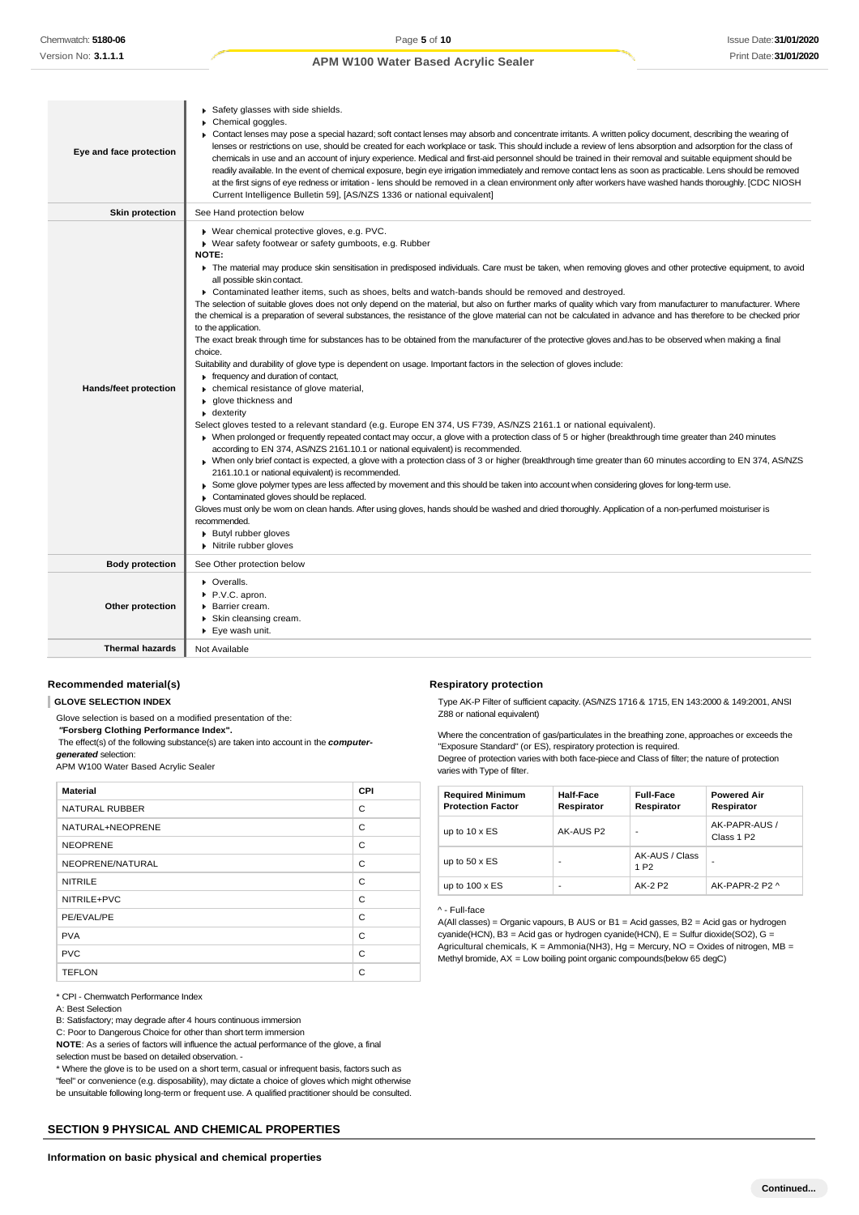| Eye and face protection      | Safety glasses with side shields.<br>Chemical goggles.<br>▶ Contact lenses may pose a special hazard; soft contact lenses may absorb and concentrate irritants. A written policy document, describing the wearing of<br>lenses or restrictions on use, should be created for each workplace or task. This should include a review of lens absorption and adsorption for the class of<br>chemicals in use and an account of injury experience. Medical and first-aid personnel should be trained in their removal and suitable equipment should be<br>readily available. In the event of chemical exposure, begin eye irrigation immediately and remove contact lens as soon as practicable. Lens should be removed<br>at the first signs of eye redness or irritation - lens should be removed in a clean environment only after workers have washed hands thoroughly. [CDC NIOSH<br>Current Intelligence Bulletin 59], [AS/NZS 1336 or national equivalent]                                                                                                                                                                                                                                                                                                                                                                                                                                                                                                                                                                                                                                                                                                                                                                                                                                                                                                                                                                                                                                                                                                                                                                                                                                                          |
|------------------------------|-----------------------------------------------------------------------------------------------------------------------------------------------------------------------------------------------------------------------------------------------------------------------------------------------------------------------------------------------------------------------------------------------------------------------------------------------------------------------------------------------------------------------------------------------------------------------------------------------------------------------------------------------------------------------------------------------------------------------------------------------------------------------------------------------------------------------------------------------------------------------------------------------------------------------------------------------------------------------------------------------------------------------------------------------------------------------------------------------------------------------------------------------------------------------------------------------------------------------------------------------------------------------------------------------------------------------------------------------------------------------------------------------------------------------------------------------------------------------------------------------------------------------------------------------------------------------------------------------------------------------------------------------------------------------------------------------------------------------------------------------------------------------------------------------------------------------------------------------------------------------------------------------------------------------------------------------------------------------------------------------------------------------------------------------------------------------------------------------------------------------------------------------------------------------------------------------------------------------|
| <b>Skin protection</b>       | See Hand protection below                                                                                                                                                                                                                                                                                                                                                                                                                                                                                                                                                                                                                                                                                                                                                                                                                                                                                                                                                                                                                                                                                                                                                                                                                                                                                                                                                                                                                                                                                                                                                                                                                                                                                                                                                                                                                                                                                                                                                                                                                                                                                                                                                                                             |
| <b>Hands/feet protection</b> | ▶ Wear chemical protective gloves, e.g. PVC.<br>▶ Wear safety footwear or safety gumboots, e.g. Rubber<br>NOTE:<br>The material may produce skin sensitisation in predisposed individuals. Care must be taken, when removing gloves and other protective equipment, to avoid<br>all possible skin contact.<br>▶ Contaminated leather items, such as shoes, belts and watch-bands should be removed and destroyed.<br>The selection of suitable gloves does not only depend on the material, but also on further marks of quality which vary from manufacturer to manufacturer. Where<br>the chemical is a preparation of several substances, the resistance of the glove material can not be calculated in advance and has therefore to be checked prior<br>to the application.<br>The exact break through time for substances has to be obtained from the manufacturer of the protective gloves and has to be observed when making a final<br>choice.<br>Suitability and durability of glove type is dependent on usage. Important factors in the selection of gloves include:<br>Firequency and duration of contact,<br>• chemical resistance of glove material,<br>▶ qlove thickness and<br>• dexterity<br>Select gloves tested to a relevant standard (e.g. Europe EN 374, US F739, AS/NZS 2161.1 or national equivalent).<br>▶ When prolonged or frequently repeated contact may occur, a glove with a protection class of 5 or higher (breakthrough time greater than 240 minutes<br>according to EN 374, AS/NZS 2161.10.1 or national equivalent) is recommended.<br>▶ When only brief contact is expected, a glove with a protection class of 3 or higher (breakthrough time greater than 60 minutes according to EN 374, AS/NZS<br>2161.10.1 or national equivalent) is recommended.<br>► Some glove polymer types are less affected by movement and this should be taken into account when considering gloves for long-term use.<br>Contaminated gloves should be replaced.<br>Gloves must only be wom on clean hands. After using gloves, hands should be washed and dried thoroughly. Application of a non-perfumed moisturiser is<br>recommended.<br><b>Butyl rubber gloves</b><br>Nitrile rubber gloves |
| <b>Body protection</b>       | See Other protection below                                                                                                                                                                                                                                                                                                                                                                                                                                                                                                                                                                                                                                                                                                                                                                                                                                                                                                                                                                                                                                                                                                                                                                                                                                                                                                                                                                                                                                                                                                                                                                                                                                                                                                                                                                                                                                                                                                                                                                                                                                                                                                                                                                                            |
| Other protection             | • Overalls.<br>P.V.C. apron.<br>▶ Barrier cream.<br>Skin cleansing cream.<br>▶ Eye wash unit.                                                                                                                                                                                                                                                                                                                                                                                                                                                                                                                                                                                                                                                                                                                                                                                                                                                                                                                                                                                                                                                                                                                                                                                                                                                                                                                                                                                                                                                                                                                                                                                                                                                                                                                                                                                                                                                                                                                                                                                                                                                                                                                         |
| <b>Thermal hazards</b>       | Not Available                                                                                                                                                                                                                                                                                                                                                                                                                                                                                                                                                                                                                                                                                                                                                                                                                                                                                                                                                                                                                                                                                                                                                                                                                                                                                                                                                                                                                                                                                                                                                                                                                                                                                                                                                                                                                                                                                                                                                                                                                                                                                                                                                                                                         |

### **Recommended material(s)**

**GLOVE SELECTION INDEX**

Glove selection is based on a modified presentation of the:

*"***Forsberg Clothing Performance Index".**

The effect(s) of the following substance(s) are taken into account in the *computergenerated* selection:

APM W100 Water Based Acrylic Sealer

| <b>Material</b>       | CPI |
|-----------------------|-----|
| <b>NATURAL RUBBER</b> | C   |
| NATURAL+NEOPRENE      | C   |
| <b>NEOPRENE</b>       | C   |
| NEOPRENE/NATURAL      | C   |
| <b>NITRILE</b>        | C   |
| NITRILE+PVC           | C   |
| PE/EVAL/PE            | C   |
| <b>PVA</b>            | C   |
| <b>PVC</b>            | C   |
| <b>TEFLON</b>         | C   |

\* CPI - Chemwatch Performance Index

A: Best Selection

B: Satisfactory; may degrade after 4 hours continuous immersion

C: Poor to Dangerous Choice for other than short term immersion

**NOTE**: As a series of factors will influence the actual performance of the glove, a final selection must be based on detailed observation. -

\* Where the glove is to be used on a short term, casual or infrequent basis, factors such as "feel" or convenience (e.g. disposability), may dictate a choice of gloves which might otherwise be unsuitable following long-term or frequent use. A qualified practitioner should be consulted.

## **SECTION 9 PHYSICAL AND CHEMICAL PROPERTIES**

#### **Respiratory protection**

Type AK-P Filter of sufficient capacity. (AS/NZS 1716 & 1715, EN 143:2000 & 149:2001, ANSI Z88 or national equivalent)

Where the concentration of gas/particulates in the breathing zone, approaches or exceeds the "Exposure Standard" (or ES), respiratory protection is required.

Degree of protection varies with both face-piece and Class of filter; the nature of protection varies with Type of filter.

| <b>Required Minimum</b><br><b>Protection Factor</b> | Half-Face<br>Respirator | <b>Full-Face</b><br>Respirator     | <b>Powered Air</b><br>Respirator        |
|-----------------------------------------------------|-------------------------|------------------------------------|-----------------------------------------|
| up to $10 \times ES$                                | AK-AUS P2               | ٠                                  | AK-PAPR-AUS /<br>Class 1 P <sub>2</sub> |
| up to $50 \times ES$                                | -                       | AK-AUS / Class<br>1 P <sub>2</sub> |                                         |
| up to $100 \times ES$                               | ٠                       | AK-2 P2                            | AK-PAPR-2 P2 ^                          |

#### ^ - Full-face

A(All classes) = Organic vapours, B AUS or B1 = Acid gasses, B2 = Acid gas or hydrogen cyanide(HCN), B3 = Acid gas or hydrogen cyanide(HCN), E = Sulfur dioxide(SO2), G = Agricultural chemicals,  $K =$  Ammonia(NH3), Hg = Mercury, NO = Oxides of nitrogen, MB = Methyl bromide, AX = Low boiling point organic compounds(below 65 degC)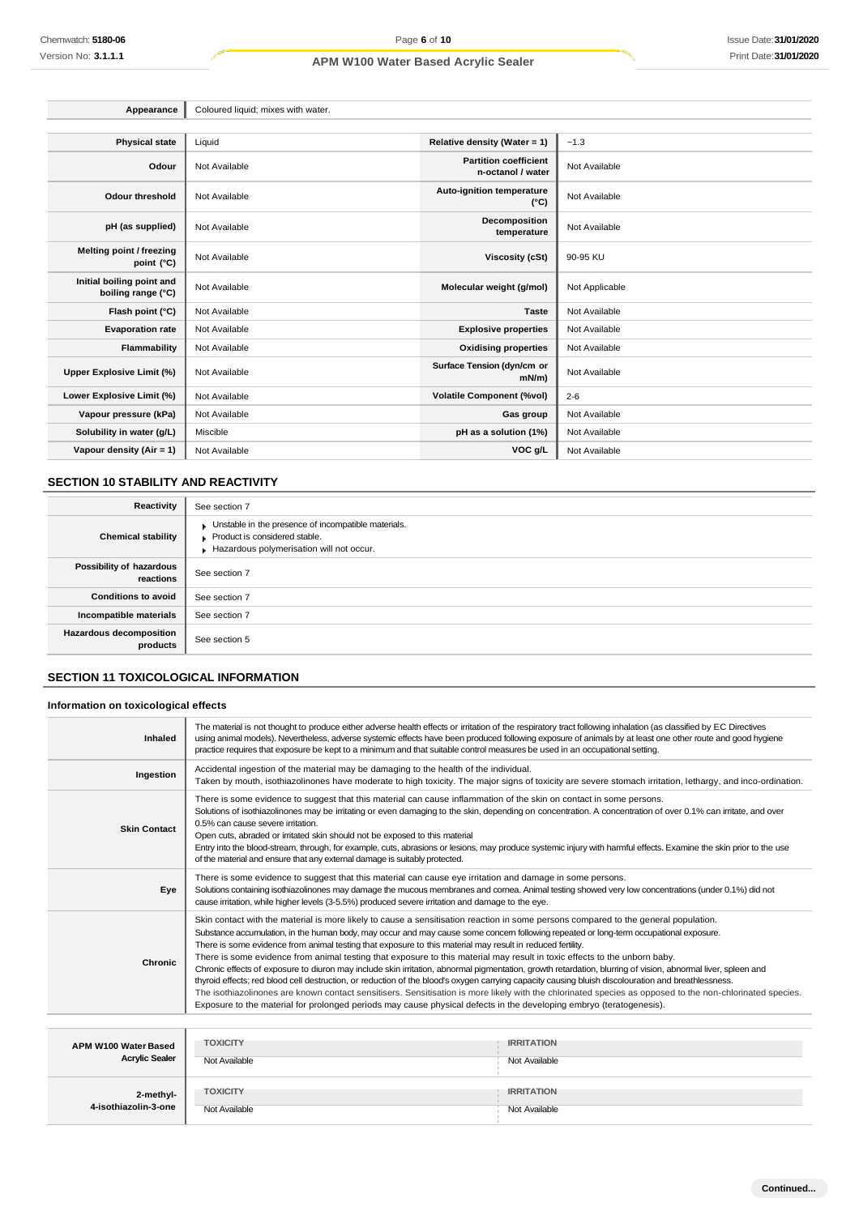| Appearance                                      | Coloured liquid; mixes with water. |                                                   |                |
|-------------------------------------------------|------------------------------------|---------------------------------------------------|----------------|
|                                                 |                                    |                                                   |                |
| <b>Physical state</b>                           | Liquid                             | Relative density (Water = 1)                      | ~1.3           |
| Odour                                           | Not Available                      | <b>Partition coefficient</b><br>n-octanol / water | Not Available  |
| <b>Odour threshold</b>                          | Not Available                      | Auto-ignition temperature<br>$(^{\circ}C)$        | Not Available  |
| pH (as supplied)                                | Not Available                      | Decomposition<br>temperature                      | Not Available  |
| Melting point / freezing<br>point (°C)          | Not Available                      | <b>Viscosity (cSt)</b>                            | 90-95 KU       |
| Initial boiling point and<br>boiling range (°C) | Not Available                      | Molecular weight (g/mol)                          | Not Applicable |
| Flash point (°C)                                | Not Available                      | <b>Taste</b>                                      | Not Available  |
| <b>Evaporation rate</b>                         | Not Available                      | <b>Explosive properties</b>                       | Not Available  |
| Flammability                                    | Not Available                      | <b>Oxidising properties</b>                       | Not Available  |
| Upper Explosive Limit (%)                       | Not Available                      | Surface Tension (dyn/cm or<br>$mN/m$ )            | Not Available  |
| Lower Explosive Limit (%)                       | Not Available                      | <b>Volatile Component (%vol)</b>                  | $2 - 6$        |
| Vapour pressure (kPa)                           | Not Available                      | Gas group                                         | Not Available  |
| Solubility in water (g/L)                       | Miscible                           | pH as a solution (1%)                             | Not Available  |
| Vapour density (Air = $1$ )                     | Not Available                      | VOC g/L                                           | Not Available  |

## **SECTION 10 STABILITY AND REACTIVITY**

| Reactivity                            | See section 7                                                                                                                    |
|---------------------------------------|----------------------------------------------------------------------------------------------------------------------------------|
| <b>Chemical stability</b>             | Unstable in the presence of incompatible materials.<br>Product is considered stable.<br>Hazardous polymerisation will not occur. |
| Possibility of hazardous<br>reactions | See section 7                                                                                                                    |
| <b>Conditions to avoid</b>            | See section 7                                                                                                                    |
| Incompatible materials                | See section 7                                                                                                                    |
| Hazardous decomposition<br>products   | See section 5                                                                                                                    |

## **SECTION 11 TOXICOLOGICAL INFORMATION**

## **Information on toxicological effects**

| Inhaled                                       | The material is not thought to produce either adverse health effects or irritation of the respiratory tract following inhalation (as classified by EC Directives<br>using animal models). Nevertheless, adverse systemic effects have been produced following exposure of animals by at least one other route and good hygiene<br>practice requires that exposure be kept to a minimum and that suitable control measures be used in an occupational setting.                                                                                                                                                                                                                                                                                                                                                                                                                                                                                                                                                                                                                                                                      |                                    |  |  |
|-----------------------------------------------|------------------------------------------------------------------------------------------------------------------------------------------------------------------------------------------------------------------------------------------------------------------------------------------------------------------------------------------------------------------------------------------------------------------------------------------------------------------------------------------------------------------------------------------------------------------------------------------------------------------------------------------------------------------------------------------------------------------------------------------------------------------------------------------------------------------------------------------------------------------------------------------------------------------------------------------------------------------------------------------------------------------------------------------------------------------------------------------------------------------------------------|------------------------------------|--|--|
| Ingestion                                     | Accidental ingestion of the material may be damaging to the health of the individual.<br>Taken by mouth, isothiazolinones have moderate to high toxicity. The major signs of toxicity are severe stomach irritation, lethargy, and inco-ordination.                                                                                                                                                                                                                                                                                                                                                                                                                                                                                                                                                                                                                                                                                                                                                                                                                                                                                |                                    |  |  |
| <b>Skin Contact</b>                           | There is some evidence to suggest that this material can cause inflammation of the skin on contact in some persons.<br>Solutions of isothiazolinones may be irritating or even damaging to the skin, depending on concentration. A concentration of over 0.1% can irritate, and over<br>0.5% can cause severe irritation.<br>Open cuts, abraded or irritated skin should not be exposed to this material<br>Entry into the blood-stream, through, for example, cuts, abrasions or lesions, may produce systemic injury with harmful effects. Examine the skin prior to the use<br>of the material and ensure that any external damage is suitably protected.                                                                                                                                                                                                                                                                                                                                                                                                                                                                       |                                    |  |  |
| Eye                                           | There is some evidence to suggest that this material can cause eye irritation and damage in some persons.<br>Solutions containing isothiazolinones may damage the mucous membranes and comea. Animal testing showed very low concentrations (under 0.1%) did not<br>cause irritation, while higher levels (3-5.5%) produced severe irritation and damage to the eye.                                                                                                                                                                                                                                                                                                                                                                                                                                                                                                                                                                                                                                                                                                                                                               |                                    |  |  |
| <b>Chronic</b>                                | Skin contact with the material is more likely to cause a sensitisation reaction in some persons compared to the general population.<br>Substance accumulation, in the human body, may occur and may cause some concern following repeated or long-term occupational exposure.<br>There is some evidence from animal testing that exposure to this material may result in reduced fertility.<br>There is some evidence from animal testing that exposure to this material may result in toxic effects to the unborn baby.<br>Chronic effects of exposure to diuron may include skin irritation, abnormal pigmentation, growth retardation, blurring of vision, abnormal liver, spleen and<br>thyroid effects; red blood cell destruction, or reduction of the blood's oxygen carrying capacity causing bluish discolouration and breathlessness.<br>The isothiazolinones are known contact sensitisers. Sensitisation is more likely with the chlorinated species as opposed to the non-chlorinated species.<br>Exposure to the material for prolonged periods may cause physical defects in the developing embryo (teratogenesis). |                                    |  |  |
|                                               |                                                                                                                                                                                                                                                                                                                                                                                                                                                                                                                                                                                                                                                                                                                                                                                                                                                                                                                                                                                                                                                                                                                                    |                                    |  |  |
| APM W100 Water Based<br><b>Acrylic Sealer</b> | <b>TOXICITY</b><br>Not Available                                                                                                                                                                                                                                                                                                                                                                                                                                                                                                                                                                                                                                                                                                                                                                                                                                                                                                                                                                                                                                                                                                   | <b>IRRITATION</b><br>Not Available |  |  |
| 2-methyl-<br>4-isothiazolin-3-one             | <b>TOXICITY</b><br>Not Available                                                                                                                                                                                                                                                                                                                                                                                                                                                                                                                                                                                                                                                                                                                                                                                                                                                                                                                                                                                                                                                                                                   | <b>IRRITATION</b><br>Not Available |  |  |

Not Available Not Available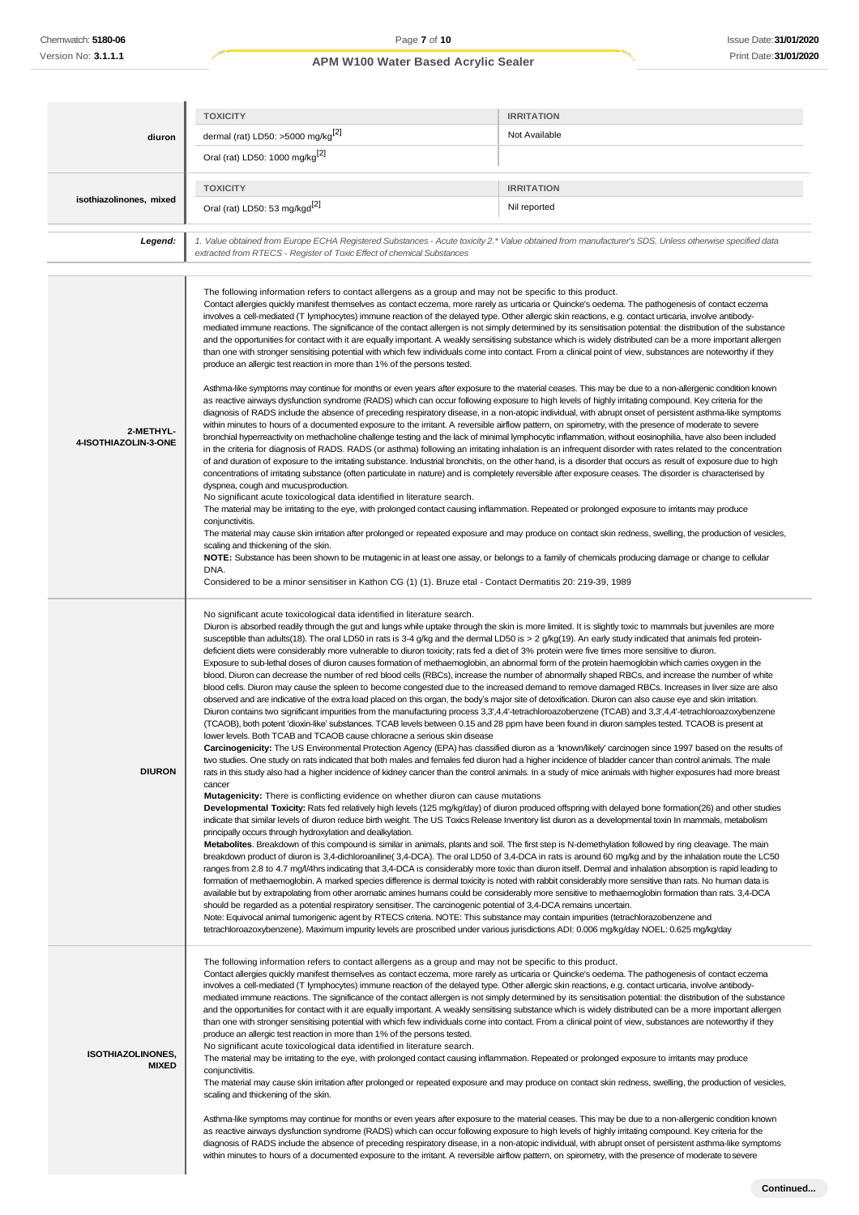|                                          | <b>TOXICITY</b>                                                                                                                                                                                                                                                                                                                                                                                                                                                                                                                                                                                                                                                                                                                                                                                                                                                                                                                                                                                                                                                                                                                                                                                                                                                                                                                                                                                                                                                                                                                                                                                                                                                                                                                                                                                                                                                                                                                                                                                                                                                                                                                                                                                                                                                                                                                                                                                                                                                                                                                                                                                                                                                                                                                                                                                                                                                                                                                                                                                                                                                                                                                                                                                                                                                                                                                                                                                                                                                                                                                                                                                                                                                                                                                                                  | <b>IRRITATION</b> |
|------------------------------------------|------------------------------------------------------------------------------------------------------------------------------------------------------------------------------------------------------------------------------------------------------------------------------------------------------------------------------------------------------------------------------------------------------------------------------------------------------------------------------------------------------------------------------------------------------------------------------------------------------------------------------------------------------------------------------------------------------------------------------------------------------------------------------------------------------------------------------------------------------------------------------------------------------------------------------------------------------------------------------------------------------------------------------------------------------------------------------------------------------------------------------------------------------------------------------------------------------------------------------------------------------------------------------------------------------------------------------------------------------------------------------------------------------------------------------------------------------------------------------------------------------------------------------------------------------------------------------------------------------------------------------------------------------------------------------------------------------------------------------------------------------------------------------------------------------------------------------------------------------------------------------------------------------------------------------------------------------------------------------------------------------------------------------------------------------------------------------------------------------------------------------------------------------------------------------------------------------------------------------------------------------------------------------------------------------------------------------------------------------------------------------------------------------------------------------------------------------------------------------------------------------------------------------------------------------------------------------------------------------------------------------------------------------------------------------------------------------------------------------------------------------------------------------------------------------------------------------------------------------------------------------------------------------------------------------------------------------------------------------------------------------------------------------------------------------------------------------------------------------------------------------------------------------------------------------------------------------------------------------------------------------------------------------------------------------------------------------------------------------------------------------------------------------------------------------------------------------------------------------------------------------------------------------------------------------------------------------------------------------------------------------------------------------------------------------------------------------------------------------------------------------------------|-------------------|
| diuron                                   | dermal (rat) LD50: >5000 mg/kg <sup>[2]</sup>                                                                                                                                                                                                                                                                                                                                                                                                                                                                                                                                                                                                                                                                                                                                                                                                                                                                                                                                                                                                                                                                                                                                                                                                                                                                                                                                                                                                                                                                                                                                                                                                                                                                                                                                                                                                                                                                                                                                                                                                                                                                                                                                                                                                                                                                                                                                                                                                                                                                                                                                                                                                                                                                                                                                                                                                                                                                                                                                                                                                                                                                                                                                                                                                                                                                                                                                                                                                                                                                                                                                                                                                                                                                                                                    | Not Available     |
|                                          | Oral (rat) LD50: 1000 mg/kg <sup>[2]</sup>                                                                                                                                                                                                                                                                                                                                                                                                                                                                                                                                                                                                                                                                                                                                                                                                                                                                                                                                                                                                                                                                                                                                                                                                                                                                                                                                                                                                                                                                                                                                                                                                                                                                                                                                                                                                                                                                                                                                                                                                                                                                                                                                                                                                                                                                                                                                                                                                                                                                                                                                                                                                                                                                                                                                                                                                                                                                                                                                                                                                                                                                                                                                                                                                                                                                                                                                                                                                                                                                                                                                                                                                                                                                                                                       |                   |
|                                          | <b>TOXICITY</b>                                                                                                                                                                                                                                                                                                                                                                                                                                                                                                                                                                                                                                                                                                                                                                                                                                                                                                                                                                                                                                                                                                                                                                                                                                                                                                                                                                                                                                                                                                                                                                                                                                                                                                                                                                                                                                                                                                                                                                                                                                                                                                                                                                                                                                                                                                                                                                                                                                                                                                                                                                                                                                                                                                                                                                                                                                                                                                                                                                                                                                                                                                                                                                                                                                                                                                                                                                                                                                                                                                                                                                                                                                                                                                                                                  | <b>IRRITATION</b> |
| isothiazolinones, mixed                  | Oral (rat) LD50: 53 mg/kgd <sup>[2]</sup>                                                                                                                                                                                                                                                                                                                                                                                                                                                                                                                                                                                                                                                                                                                                                                                                                                                                                                                                                                                                                                                                                                                                                                                                                                                                                                                                                                                                                                                                                                                                                                                                                                                                                                                                                                                                                                                                                                                                                                                                                                                                                                                                                                                                                                                                                                                                                                                                                                                                                                                                                                                                                                                                                                                                                                                                                                                                                                                                                                                                                                                                                                                                                                                                                                                                                                                                                                                                                                                                                                                                                                                                                                                                                                                        | Nil reported      |
| Legend:                                  | 1. Value obtained from Europe ECHA Registered Substances - Acute toxicity 2.* Value obtained from manufacturer's SDS. Unless otherwise specified data<br>extracted from RTECS - Register of Toxic Effect of chemical Substances                                                                                                                                                                                                                                                                                                                                                                                                                                                                                                                                                                                                                                                                                                                                                                                                                                                                                                                                                                                                                                                                                                                                                                                                                                                                                                                                                                                                                                                                                                                                                                                                                                                                                                                                                                                                                                                                                                                                                                                                                                                                                                                                                                                                                                                                                                                                                                                                                                                                                                                                                                                                                                                                                                                                                                                                                                                                                                                                                                                                                                                                                                                                                                                                                                                                                                                                                                                                                                                                                                                                  |                   |
| 2-METHYL-<br>4-ISOTHIAZOLIN-3-ONE        | The following information refers to contact allergens as a group and may not be specific to this product.<br>Contact allergies quickly manifest themselves as contact eczema, more rarely as urticaria or Quincke's oedema. The pathogenesis of contact eczema<br>involves a cell-mediated (T lymphocytes) immune reaction of the delayed type. Other allergic skin reactions, e.g. contact urticaria, involve antibody-<br>mediated immune reactions. The significance of the contact allergen is not simply determined by its sensitisation potential: the distribution of the substance<br>and the opportunities for contact with it are equally important. A weakly sensitising substance which is widely distributed can be a more important allergen<br>than one with stronger sensitising potential with which few individuals come into contact. From a clinical point of view, substances are noteworthy if they<br>produce an allergic test reaction in more than 1% of the persons tested.<br>Asthma-like symptoms may continue for months or even years after exposure to the material ceases. This may be due to a non-allergenic condition known<br>as reactive airways dysfunction syndrome (RADS) which can occur following exposure to high levels of highly irritating compound. Key criteria for the<br>diagnosis of RADS include the absence of preceding respiratory disease, in a non-atopic individual, with abrupt onset of persistent asthma-like symptoms<br>within minutes to hours of a documented exposure to the irritant. A reversible airflow pattern, on spirometry, with the presence of moderate to severe<br>bronchial hyperreactivity on methacholine challenge testing and the lack of minimal lymphocytic inflammation, without eosinophilia, have also been included<br>in the criteria for diagnosis of RADS. RADS (or asthma) following an irritating inhalation is an infrequent disorder with rates related to the concentration<br>of and duration of exposure to the irritating substance. Industrial bronchitis, on the other hand, is a disorder that occurs as result of exposure due to high<br>concentrations of irritating substance (often particulate in nature) and is completely reversible after exposure ceases. The disorder is characterised by<br>dyspnea, cough and mucus production.<br>No significant acute toxicological data identified in literature search.<br>The material may be irritating to the eye, with prolonged contact causing inflammation. Repeated or prolonged exposure to irritants may produce<br>conjunctivitis.<br>The material may cause skin irritation after prolonged or repeated exposure and may produce on contact skin redness, swelling, the production of vesicles,<br>scaling and thickening of the skin.<br>NOTE: Substance has been shown to be mutagenic in at least one assay, or belongs to a family of chemicals producing damage or change to cellular<br>DNA.<br>Considered to be a minor sensitiser in Kathon CG (1) (1). Bruze etal - Contact Dermatitis 20: 219-39, 1989                                                                                                                                                                                                                                                                                                                                                                                                                                                                                                                                                                                                                                                                             |                   |
| <b>DIURON</b>                            | No significant acute toxicological data identified in literature search.<br>Diuron is absorbed readily through the gut and lungs while uptake through the skin is more limited. It is slightly toxic to mammals but juveniles are more<br>susceptible than adults(18). The oral LD50 in rats is 3-4 g/kg and the dermal LD50 is > 2 g/kg(19). An early study indicated that animals fed protein-<br>deficient diets were considerably more vulnerable to diuron toxicity; rats fed a diet of 3% protein were five times more sensitive to diuron.<br>Exposure to sub-lethal doses of diuron causes formation of methaemoglobin, an abnormal form of the protein haemoglobin which carries oxygen in the<br>blood. Diuron can decrease the number of red blood cells (RBCs), increase the number of abnormally shaped RBCs, and increase the number of white<br>blood cells. Diuron may cause the spleen to become congested due to the increased demand to remove damaged RBCs. Increases in liver size are also<br>observed and are indicative of the extra load placed on this organ, the body's major site of detoxification. Diuron can also cause eye and skin irritation.<br>Diuron contains two significant impurities from the manufacturing process 3,3',4,4'-tetrachloroazobenzene (TCAB) and 3,3',4,4'-tetrachloroazoxybenzene<br>(TCAOB), both potent 'dioxin-like' substances. TCAB levels between 0.15 and 28 ppm have been found in diuron samples tested. TCAOB is present at<br>lower levels. Both TCAB and TCAOB cause chloracne a serious skin disease<br>Carcinogenicity: The US Environmental Protection Agency (EPA) has classified diuron as a 'known/likely' carcinogen since 1997 based on the results of<br>two studies. One study on rats indicated that both males and females fed diuron had a higher incidence of bladder cancer than control animals. The male<br>rats in this study also had a higher incidence of kidney cancer than the control animals. In a study of mice animals with higher exposures had more breast<br>cancer<br><b>Mutagenicity:</b> There is conflicting evidence on whether diuron can cause mutations<br>Developmental Toxicity: Rats fed relatively high levels (125 mg/kg/day) of diuron produced offspring with delayed bone formation(26) and other studies<br>indicate that similar levels of diuron reduce birth weight. The US Toxics Release Inventory list diuron as a developmental toxin In mammals, metabolism<br>principally occurs through hydroxylation and dealkylation.<br>Metabolites. Breakdown of this compound is similar in animals, plants and soil. The first step is N-demethylation followed by ring cleavage. The main<br>breakdown product of diuron is 3,4-dichloroaniline(3,4-DCA). The oral LD50 of 3,4-DCA in rats is around 60 mg/kg and by the inhalation route the LC50<br>ranges from 2.8 to 4.7 mg/l/4hrs indicating that 3,4-DCA is considerably more toxic than diuron itself. Dermal and inhalation absorption is rapid leading to<br>formation of methaemoglobin. A marked species difference is dermal toxicity is noted with rabbit considerably more sensitive than rats. No human data is<br>available but by extrapolating from other aromatic amines humans could be considerably more sensitive to methaemoglobin formation than rats. 3,4-DCA<br>should be regarded as a potential respiratory sensitiser. The carcinogenic potential of 3,4-DCA remains uncertain.<br>Note: Equivocal animal tumorigenic agent by RTECS criteria. NOTE: This substance may contain impurities (tetrachlorazobenzene and<br>tetrachloroazoxybenzene). Maximum impurity levels are proscribed under various jurisdictions ADI: 0.006 mg/kg/day NOEL: 0.625 mg/kg/day |                   |
| <b>ISOTHIAZOLINONES,</b><br><b>MIXED</b> | The following information refers to contact allergens as a group and may not be specific to this product.<br>Contact allergies quickly manifest themselves as contact eczema, more rarely as urticaria or Quincke's oedema. The pathogenesis of contact eczema<br>involves a cell-mediated (T lymphocytes) immune reaction of the delayed type. Other allergic skin reactions, e.g. contact urticaria, involve antibody-<br>mediated immune reactions. The significance of the contact allergen is not simply determined by its sensitisation potential: the distribution of the substance<br>and the opportunities for contact with it are equally important. A weakly sensitising substance which is widely distributed can be a more important allergen<br>than one with stronger sensitising potential with which few individuals come into contact. From a clinical point of view, substances are noteworthy if they<br>produce an allergic test reaction in more than 1% of the persons tested.<br>No significant acute toxicological data identified in literature search.<br>The material may be irritating to the eye, with prolonged contact causing inflammation. Repeated or prolonged exposure to irritants may produce<br>conjunctivitis.<br>The material may cause skin irritation after prolonged or repeated exposure and may produce on contact skin redness, swelling, the production of vesicles,<br>scaling and thickening of the skin.<br>Asthma-like symptoms may continue for months or even years after exposure to the material ceases. This may be due to a non-allergenic condition known<br>as reactive airways dysfunction syndrome (RADS) which can occur following exposure to high levels of highly irritating compound. Key criteria for the<br>diagnosis of RADS include the absence of preceding respiratory disease, in a non-atopic individual, with abrupt onset of persistent asthma-like symptoms<br>within minutes to hours of a documented exposure to the irritant. A reversible airflow pattern, on spirometry, with the presence of moderate to severe                                                                                                                                                                                                                                                                                                                                                                                                                                                                                                                                                                                                                                                                                                                                                                                                                                                                                                                                                                                                                                                                                                                                                                                                                                                                                                                                                                                                                                                                                                                                                                                                                                                             |                   |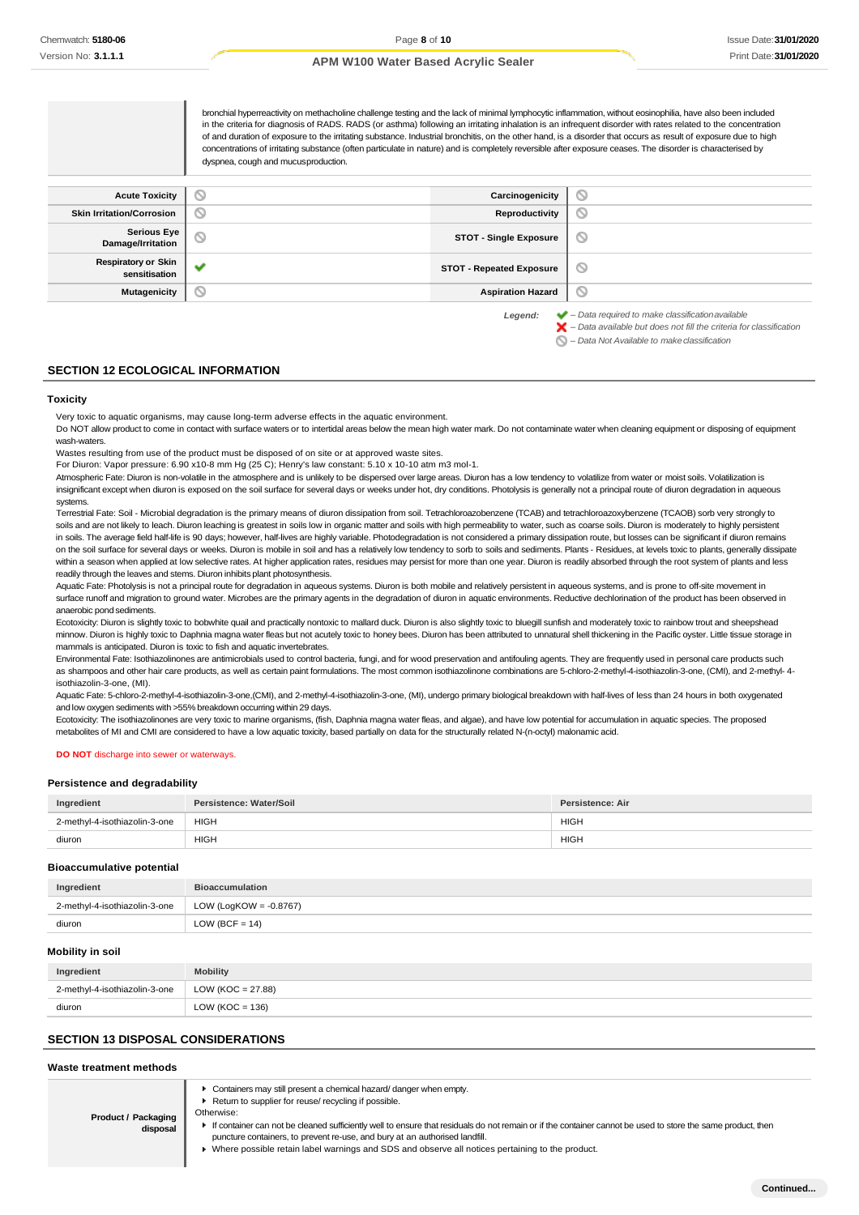bronchial hyperreactivity on methacholine challenge testing and the lack of minimal lymphocytic inflammation, without eosinophilia, have also been included in the criteria for diagnosis of RADS. RADS (or asthma) following an irritating inhalation is an infrequent disorder with rates related to the concentration of and duration of exposure to the irritating substance. Industrial bronchitis, on the other hand, is a disorder that occurs as result of exposure due to high concentrations of irritating substance (often particulate in nature) and is completely reversible after exposure ceases. The disorder is characterised by dyspnea, cough and mucusproduction.**Acute Toxicity Carcinogenicity**  $\circ$ **Skin Irritation/Corrosion Reproductivity**  $\circ$ **Serious Eye**<br>Damage/Irritation **Damage/Irritation in the STOT - Single Exposure**  $\circ$ **Respiratory or Skin sensitisation STOT - Repeated Exposure**  $\circ$ **Mutagenicity Aspiration Hazard**  $\circ$ *Legend: – Data required to make classificationavailable – Data available but does not fill the criteria for classification*

*– Data Not Available to makeclassification*  $\circ$ 

### **SECTION 12 ECOLOGICAL INFORMATION**

#### **Toxicity**

Very toxic to aquatic organisms, may cause long-term adverse effects in the aquatic environment.

Do NOT allow product to come in contact with surface waters or to intertidal areas below the mean high water mark. Do not contaminate water when cleaning equipment or disposing of equipment wash-waters.

Wastes resulting from use of the product must be disposed of on site or at approved waste sites.

For Diuron: Vapor pressure: 6.90 x10-8 mm Hg (25 C); Henry's law constant: 5.10 x 10-10 atm m3 mol-1.

Atmospheric Fate: Diuron is non-volatile in the atmosphere and is unlikely to be dispersed over large areas. Diuron has a low tendency to volatilize from water or moist soils. Volatilization is insignificant except when diuron is exposed on the soil surface for several days or weeks under hot, dry conditions. Photolysis is generally not a principal route of diuron degradation in aqueous systems.

Terrestrial Fate: Soil - Microbial degradation is the primary means of diuron dissipation from soil. Tetrachloroazobenzene (TCAB) and tetrachloroazoxybenzene (TCAOB) sorb very strongly to soils and are not likely to leach. Diuron leaching is greatest in soils low in organic matter and soils with high permeability to water, such as coarse soils. Diuron is moderately to highly persistent in soils. The average field half-life is 90 days; however, half-lives are highly variable. Photodegradation is not considered a primary dissipation route, but losses can be significant if diuron remains on the soil surface for several days or weeks. Diuron is mobile in soil and has a relatively low tendency to sorb to soils and sediments. Plants - Residues, at levels toxic to plants, generally dissipate within a season when applied at low selective rates. At higher application rates, residues may persist for more than one year. Diuron is readily absorbed through the root system of plants and less readily through the leaves and stems. Diuron inhibits plant photosynthesis.

Aquatic Fate: Photolysis is not a principal route for degradation in aqueous systems. Diuron is both mobile and relatively persistent in aqueous systems, and is prone to off-site movement in surface runoff and migration to ground water. Microbes are the primary agents in the degradation of diuron in aquatic environments. Reductive dechlorination of the product has been observed in anaerobic pond sediments.

Ecotoxicity: Diuron is slightly toxic to bobwhite quail and practically nontoxic to mallard duck. Diuron is also slightly toxic to bluegill sunfish and moderately toxic to rainbow trout and sheepshead minnow. Diuron is highly toxic to Daphnia magna water fleas but not acutely toxic to honey bees. Diuron has been attributed to unnatural shell thickening in the Pacific oyster. Little tissue storage in mammals is anticipated. Diuron is toxic to fish and aquatic invertebrates.

Environmental Fate: Isothiazolinones are antimicrobials used to control bacteria, fungi, and for wood preservation and antifouling agents. They are frequently used in personal care products such as shampoos and other hair care products, as well as certain paint formulations. The most common isothiazolinone combinations are 5-chloro-2-methyl-4-isothiazolin-3-one, (CMI), and 2-methyl- 4 isothiazolin-3-one, (MI).

Aquatic Fate: 5-chloro-2-methyl-4-isothiazolin-3-one,(CMI), and 2-methyl-4-isothiazolin-3-one, (MI), undergo primary biological breakdown with half-lives of less than 24 hours in both oxygenated and low oxygen sediments with >55% breakdown occurring within 29 days.

Ecotoxicity: The isothiazolinones are very toxic to marine organisms, (fish, Daphnia magna water fleas, and algae), and have low potential for accumulation in aquatic species. The proposed metabolites of MI and CMI are considered to have a low aquatic toxicity, based partially on data for the structurally related N-(n-octyl) malonamic acid.

#### **DO NOT** discharge into sewer or waterways.

#### **Persistence and degradability**

| Ingredient                    | Persistence: Water/Soil | Persistence: Air |
|-------------------------------|-------------------------|------------------|
| 2-methyl-4-isothiazolin-3-one | <b>HIGH</b>             | <b>HIGH</b>      |
| diuron                        | <b>HIGH</b>             | <b>HIGH</b>      |

#### **Bioaccumulative potential**

| Ingredient                    | <b>Bioaccumulation</b>    |
|-------------------------------|---------------------------|
| 2-methyl-4-isothiazolin-3-one | LOW (LogKOW = $-0.8767$ ) |
| diuron                        | LOW (BCF = $14$ )         |

#### **Mobility in soil**

| Ingredient                    | <b>Mobility</b>           |
|-------------------------------|---------------------------|
| 2-methyl-4-isothiazolin-3-one | $\vert$ LOW (KOC = 27.88) |
| diuron                        | LOW ( $KOC = 136$ )       |

#### **SECTION 13 DISPOSAL CONSIDERATIONS**

#### **Waste treatment methods**

Containers may still present a chemical hazard/ danger when empty.

- ▶ Return to supplier for reuse/ recycling if possible.
- **Product / Packaging disposal** Otherwise: If container can not be cleaned sufficiently well to ensure that residuals do not remain or if the container cannot be used to store the same product, then puncture containers, to prevent re-use, and bury at an authorised landfill. Where possible retain label warnings and SDS and observe all notices pertaining to the product.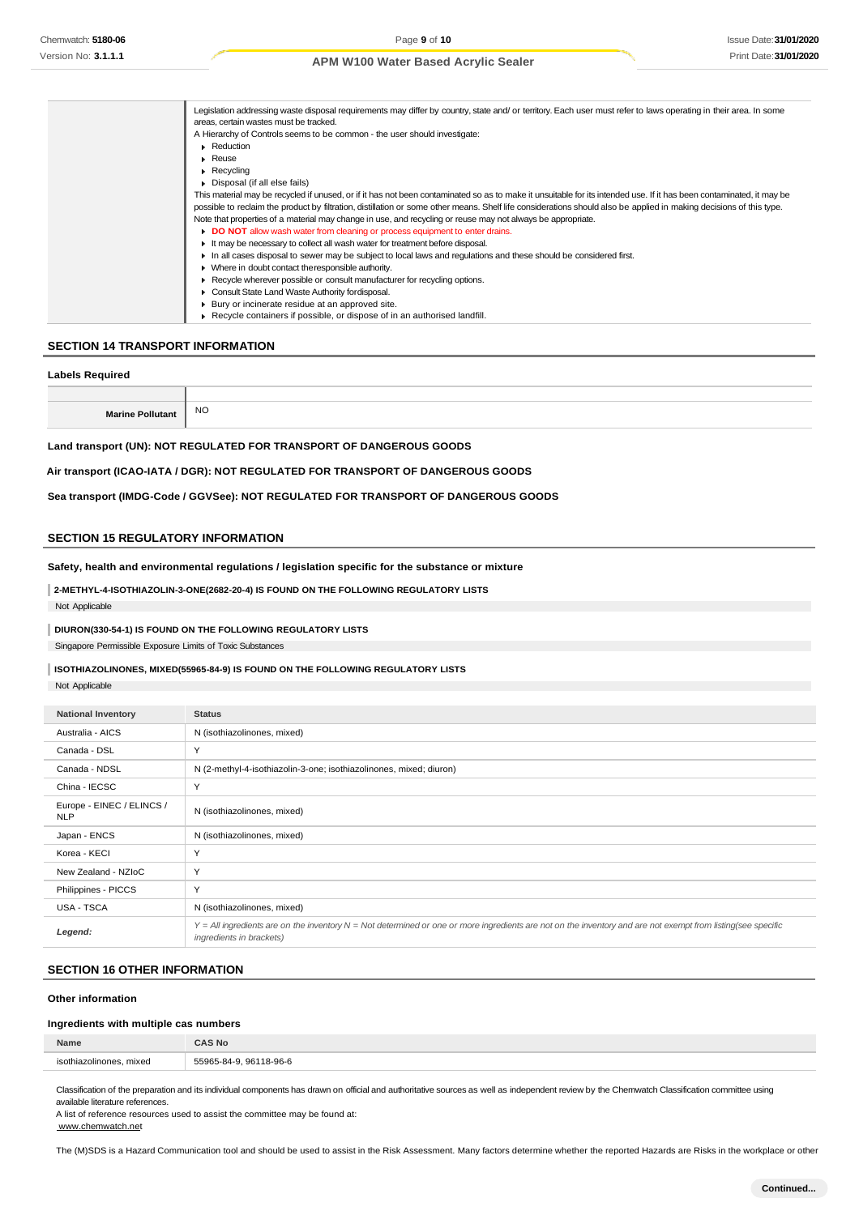| Legislation addressing waste disposal requirements may differ by country, state and/ or territory. Each user must refer to laws operating in their area. In some     |
|----------------------------------------------------------------------------------------------------------------------------------------------------------------------|
| areas, certain wastes must be tracked.                                                                                                                               |
| A Hierarchy of Controls seems to be common - the user should investigate:                                                                                            |
| • Reduction                                                                                                                                                          |
| $\blacktriangleright$ Reuse                                                                                                                                          |
| $\triangleright$ Recycling                                                                                                                                           |
| Disposal (if all else fails)                                                                                                                                         |
| This material may be recycled if unused, or if it has not been contaminated so as to make it unsuitable for its intended use. If it has been contaminated, it may be |
| possible to reclaim the product by filtration, distillation or some other means. Shelf life considerations should also be applied in making decisions of this type.  |
| Note that properties of a material may change in use, and recycling or reuse may not always be appropriate.                                                          |
| DO NOT allow wash water from cleaning or process equipment to enter drains.                                                                                          |
| If may be necessary to collect all wash water for treatment before disposal.                                                                                         |
| In all cases disposal to sewer may be subject to local laws and regulations and these should be considered first.                                                    |
| • Where in doubt contact the responsible authority.                                                                                                                  |
| ► Recycle wherever possible or consult manufacturer for recycling options.                                                                                           |
| Consult State Land Waste Authority for disposal.                                                                                                                     |
| ▶ Bury or incinerate residue at an approved site.                                                                                                                    |
| $\triangleright$ Recycle containers if possible, or dispose of in an authorised landfill.                                                                            |

## **SECTION 14 TRANSPORT INFORMATION**

### **Labels Required**

| NC |
|----|

**Land transport (UN): NOT REGULATED FOR TRANSPORT OF DANGEROUS GOODS**

### **Air transport (ICAO-IATA / DGR): NOT REGULATED FOR TRANSPORT OF DANGEROUS GOODS**

**Sea transport (IMDG-Code / GGVSee): NOT REGULATED FOR TRANSPORT OF DANGEROUS GOODS**

## **SECTION 15 REGULATORY INFORMATION**

**Safety, health and environmental regulations / legislation specific for the substance or mixture**

**2-METHYL-4-ISOTHIAZOLIN-3-ONE(2682-20-4) IS FOUND ON THE FOLLOWING REGULATORY LISTS** Not Applicable

## **DIURON(330-54-1) IS FOUND ON THE FOLLOWING REGULATORY LISTS**

Singapore Permissible Exposure Limits of Toxic Substances

## **ISOTHIAZOLINONES, MIXED(55965-84-9) IS FOUND ON THE FOLLOWING REGULATORY LISTS**

Not Applicable

| <b>National Inventory</b>               | <b>Status</b>                                                                                                                                                                            |
|-----------------------------------------|------------------------------------------------------------------------------------------------------------------------------------------------------------------------------------------|
| Australia - AICS                        | N (isothiazolinones, mixed)                                                                                                                                                              |
| Canada - DSL                            | Y                                                                                                                                                                                        |
| Canada - NDSL                           | N (2-methyl-4-isothiazolin-3-one; isothiazolinones, mixed; diuron)                                                                                                                       |
| China - IECSC                           | Y                                                                                                                                                                                        |
| Europe - EINEC / ELINCS /<br><b>NLP</b> | N (isothiazolinones, mixed)                                                                                                                                                              |
| Japan - ENCS                            | N (isothiazolinones, mixed)                                                                                                                                                              |
| Korea - KECI                            | Y                                                                                                                                                                                        |
| New Zealand - NZIoC                     | Y                                                                                                                                                                                        |
| Philippines - PICCS                     | Y                                                                                                                                                                                        |
| USA - TSCA                              | N (isothiazolinones, mixed)                                                                                                                                                              |
| Legend:                                 | Y = All ingredients are on the inventory N = Not determined or one or more ingredients are not on the inventory and are not exempt from listing(see specific<br>ingredients in brackets) |

## **SECTION 16 OTHER INFORMATION**

#### **Other information**

## **Ingredients with multiple cas numbers**

| Name                       | `AS No                         |
|----------------------------|--------------------------------|
| mixed<br>isothiazolinones. | 5506<br>-96-6<br>0G<br>$1 - 1$ |
|                            |                                |

Classification of the preparation and its individual components has drawn on official and authoritative sources as well as independent review by the Chemwatch Classification committee using available literature references.

A list of reference resources used to assist the committee may be found at: [www.chemwatch.net](http://www.chemwatch.net/)

The (M)SDS is a Hazard Communication tool and should be used to assist in the Risk Assessment. Many factors determine whether the reported Hazards are Risks in the workplace or other